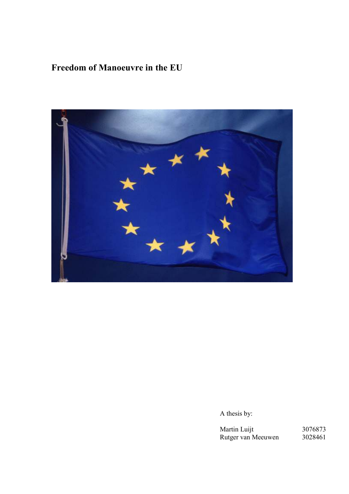# Freedom of Manoeuvre in the EU



A thesis by:

Martin Luijt 3076873 Rutger van Meeuwen 3028461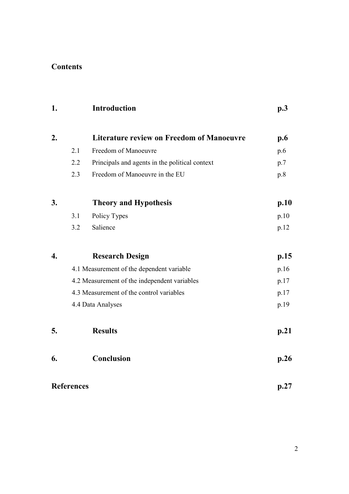# Contents

| 1. |                   | Introduction                                     | p.3  |
|----|-------------------|--------------------------------------------------|------|
| 2. |                   | <b>Literature review on Freedom of Manoeuvre</b> | p.6  |
|    | 2.1               | Freedom of Manoeuvre                             | p.6  |
|    | 2.2               | Principals and agents in the political context   | p.7  |
|    | 2.3               | Freedom of Manoeuvre in the EU                   | p.8  |
| 3. |                   | <b>Theory and Hypothesis</b>                     | p.10 |
|    | 3.1               | Policy Types                                     | p.10 |
|    | 3.2               | Salience                                         | p.12 |
| 4. |                   | <b>Research Design</b>                           | p.15 |
|    |                   | 4.1 Measurement of the dependent variable        | p.16 |
|    |                   | 4.2 Measurement of the independent variables     | p.17 |
|    |                   | 4.3 Measurement of the control variables         | p.17 |
|    |                   | 4.4 Data Analyses                                | p.19 |
| 5. |                   | <b>Results</b>                                   | p.21 |
| 6. |                   | Conclusion                                       | p.26 |
|    | <b>References</b> |                                                  | p.27 |

2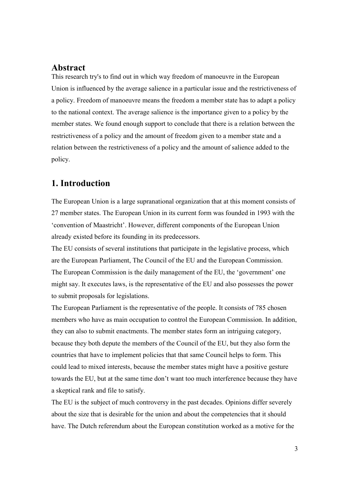### Abstract

This research try's to find out in which way freedom of manoeuvre in the European Union is influenced by the average salience in a particular issue and the restrictiveness of a policy. Freedom of manoeuvre means the freedom a member state has to adapt a policy to the national context. The average salience is the importance given to a policy by the member states. We found enough support to conclude that there is a relation between the restrictiveness of a policy and the amount of freedom given to a member state and a relation between the restrictiveness of a policy and the amount of salience added to the policy.

## 1. Introduction

The European Union is a large supranational organization that at this moment consists of 27 member states. The European Union in its current form was founded in 1993 with the 'convention of Maastricht'. However, different components of the European Union already existed before its founding in its predecessors.

The EU consists of several institutions that participate in the legislative process, which are the European Parliament, The Council of the EU and the European Commission. The European Commission is the daily management of the EU, the 'government' one might say. It executes laws, is the representative of the EU and also possesses the power to submit proposals for legislations.

The European Parliament is the representative of the people. It consists of 785 chosen members who have as main occupation to control the European Commission. In addition, they can also to submit enactments. The member states form an intriguing category, because they both depute the members of the Council of the EU, but they also form the countries that have to implement policies that that same Council helps to form. This could lead to mixed interests, because the member states might have a positive gesture towards the EU, but at the same time don't want too much interference because they have a skeptical rank and file to satisfy.

The EU is the subject of much controversy in the past decades. Opinions differ severely about the size that is desirable for the union and about the competencies that it should have. The Dutch referendum about the European constitution worked as a motive for the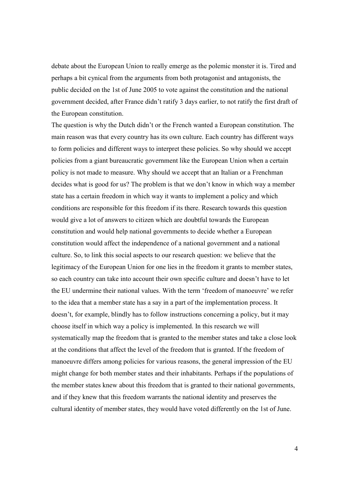debate about the European Union to really emerge as the polemic monster it is. Tired and perhaps a bit cynical from the arguments from both protagonist and antagonists, the public decided on the 1st of June 2005 to vote against the constitution and the national government decided, after France didn't ratify 3 days earlier, to not ratify the first draft of the European constitution.

The question is why the Dutch didn't or the French wanted a European constitution. The main reason was that every country has its own culture. Each country has different ways to form policies and different ways to interpret these policies. So why should we accept policies from a giant bureaucratic government like the European Union when a certain policy is not made to measure. Why should we accept that an Italian or a Frenchman decides what is good for us? The problem is that we don't know in which way a member state has a certain freedom in which way it wants to implement a policy and which conditions are responsible for this freedom if its there. Research towards this question would give a lot of answers to citizen which are doubtful towards the European constitution and would help national governments to decide whether a European constitution would affect the independence of a national government and a national culture. So, to link this social aspects to our research question: we believe that the legitimacy of the European Union for one lies in the freedom it grants to member states, so each country can take into account their own specific culture and doesn't have to let the EU undermine their national values. With the term 'freedom of manoeuvre' we refer to the idea that a member state has a say in a part of the implementation process. It doesn't, for example, blindly has to follow instructions concerning a policy, but it may choose itself in which way a policy is implemented. In this research we will systematically map the freedom that is granted to the member states and take a close look at the conditions that affect the level of the freedom that is granted. If the freedom of manoeuvre differs among policies for various reasons, the general impression of the EU might change for both member states and their inhabitants. Perhaps if the populations of the member states knew about this freedom that is granted to their national governments, and if they knew that this freedom warrants the national identity and preserves the cultural identity of member states, they would have voted differently on the 1st of June.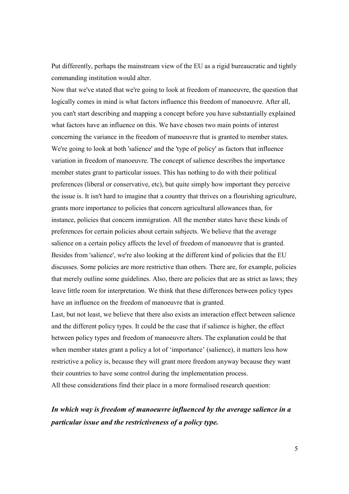Put differently, perhaps the mainstream view of the EU as a rigid bureaucratic and tightly commanding institution would alter.

Now that we've stated that we're going to look at freedom of manoeuvre, the question that logically comes in mind is what factors influence this freedom of manoeuvre. After all, you can't start describing and mapping a concept before you have substantially explained what factors have an influence on this. We have chosen two main points of interest concerning the variance in the freedom of manoeuvre that is granted to member states. We're going to look at both 'salience' and the 'type of policy' as factors that influence variation in freedom of manoeuvre. The concept of salience describes the importance member states grant to particular issues. This has nothing to do with their political preferences (liberal or conservative, etc), but quite simply how important they perceive the issue is. It isn't hard to imagine that a country that thrives on a flourishing agriculture, grants more importance to policies that concern agricultural allowances than, for instance, policies that concern immigration. All the member states have these kinds of preferences for certain policies about certain subjects. We believe that the average salience on a certain policy affects the level of freedom of manoeuvre that is granted. Besides from 'salience', we're also looking at the different kind of policies that the EU discusses. Some policies are more restrictive than others. There are, for example, policies that merely outline some guidelines. Also, there are policies that are as strict as laws; they leave little room for interpretation. We think that these differences between policy types have an influence on the freedom of manoeuvre that is granted.

Last, but not least, we believe that there also exists an interaction effect between salience and the different policy types. It could be the case that if salience is higher, the effect between policy types and freedom of manoeuvre alters. The explanation could be that when member states grant a policy a lot of 'importance' (salience), it matters less how restrictive a policy is, because they will grant more freedom anyway because they want their countries to have some control during the implementation process.

All these considerations find their place in a more formalised research question:

# In which way is freedom of manoeuvre influenced by the average salience in a particular issue and the restrictiveness of a policy type.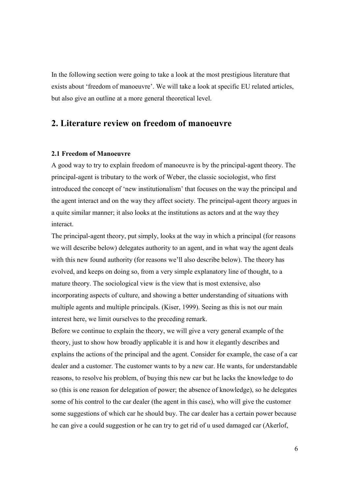In the following section were going to take a look at the most prestigious literature that exists about 'freedom of manoeuvre'. We will take a look at specific EU related articles, but also give an outline at a more general theoretical level.

### 2. Literature review on freedom of manoeuvre

#### 2.1 Freedom of Manoeuvre

A good way to try to explain freedom of manoeuvre is by the principal-agent theory. The principal-agent is tributary to the work of Weber, the classic sociologist, who first introduced the concept of 'new institutionalism' that focuses on the way the principal and the agent interact and on the way they affect society. The principal-agent theory argues in a quite similar manner; it also looks at the institutions as actors and at the way they interact.

The principal-agent theory, put simply, looks at the way in which a principal (for reasons we will describe below) delegates authority to an agent, and in what way the agent deals with this new found authority (for reasons we'll also describe below). The theory has evolved, and keeps on doing so, from a very simple explanatory line of thought, to a mature theory. The sociological view is the view that is most extensive, also incorporating aspects of culture, and showing a better understanding of situations with multiple agents and multiple principals. (Kiser, 1999). Seeing as this is not our main interest here, we limit ourselves to the preceding remark.

Before we continue to explain the theory, we will give a very general example of the theory, just to show how broadly applicable it is and how it elegantly describes and explains the actions of the principal and the agent. Consider for example, the case of a car dealer and a customer. The customer wants to by a new car. He wants, for understandable reasons, to resolve his problem, of buying this new car but he lacks the knowledge to do so (this is one reason for delegation of power; the absence of knowledge), so he delegates some of his control to the car dealer (the agent in this case), who will give the customer some suggestions of which car he should buy. The car dealer has a certain power because he can give a could suggestion or he can try to get rid of u used damaged car (Akerlof,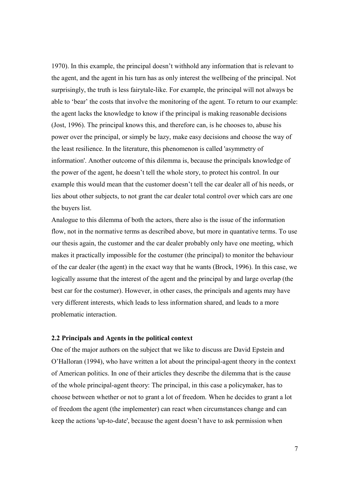1970). In this example, the principal doesn't withhold any information that is relevant to the agent, and the agent in his turn has as only interest the wellbeing of the principal. Not surprisingly, the truth is less fairytale-like. For example, the principal will not always be able to 'bear' the costs that involve the monitoring of the agent. To return to our example: the agent lacks the knowledge to know if the principal is making reasonable decisions (Jost, 1996). The principal knows this, and therefore can, is he chooses to, abuse his power over the principal, or simply be lazy, make easy decisions and choose the way of the least resilience. In the literature, this phenomenon is called 'asymmetry of information'. Another outcome of this dilemma is, because the principals knowledge of the power of the agent, he doesn't tell the whole story, to protect his control. In our example this would mean that the customer doesn't tell the car dealer all of his needs, or lies about other subjects, to not grant the car dealer total control over which cars are one the buyers list.

Analogue to this dilemma of both the actors, there also is the issue of the information flow, not in the normative terms as described above, but more in quantative terms. To use our thesis again, the customer and the car dealer probably only have one meeting, which makes it practically impossible for the costumer (the principal) to monitor the behaviour of the car dealer (the agent) in the exact way that he wants (Brock, 1996). In this case, we logically assume that the interest of the agent and the principal by and large overlap (the best car for the costumer). However, in other cases, the principals and agents may have very different interests, which leads to less information shared, and leads to a more problematic interaction.

#### 2.2 Principals and Agents in the political context

One of the major authors on the subject that we like to discuss are David Epstein and O'Halloran (1994), who have written a lot about the principal-agent theory in the context of American politics. In one of their articles they describe the dilemma that is the cause of the whole principal-agent theory: The principal, in this case a policymaker, has to choose between whether or not to grant a lot of freedom. When he decides to grant a lot of freedom the agent (the implementer) can react when circumstances change and can keep the actions 'up-to-date', because the agent doesn't have to ask permission when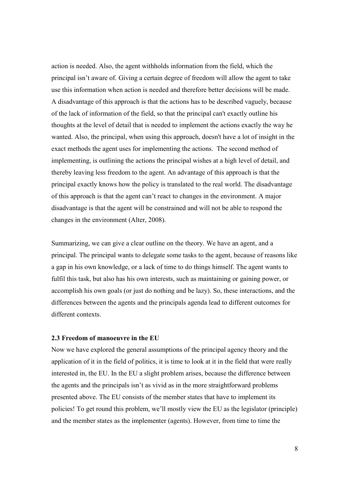action is needed. Also, the agent withholds information from the field, which the principal isn't aware of. Giving a certain degree of freedom will allow the agent to take use this information when action is needed and therefore better decisions will be made. A disadvantage of this approach is that the actions has to be described vaguely, because of the lack of information of the field, so that the principal can't exactly outline his thoughts at the level of detail that is needed to implement the actions exactly the way he wanted. Also, the principal, when using this approach, doesn't have a lot of insight in the exact methods the agent uses for implementing the actions. The second method of implementing, is outlining the actions the principal wishes at a high level of detail, and thereby leaving less freedom to the agent. An advantage of this approach is that the principal exactly knows how the policy is translated to the real world. The disadvantage of this approach is that the agent can't react to changes in the environment. A major disadvantage is that the agent will be constrained and will not be able to respond the changes in the environment (Alter, 2008).

Summarizing, we can give a clear outline on the theory. We have an agent, and a principal. The principal wants to delegate some tasks to the agent, because of reasons like a gap in his own knowledge, or a lack of time to do things himself. The agent wants to fulfil this task, but also has his own interests, such as maintaining or gaining power, or accomplish his own goals (or just do nothing and be lazy). So, these interactions, and the differences between the agents and the principals agenda lead to different outcomes for different contexts.

### 2.3 Freedom of manoeuvre in the EU

Now we have explored the general assumptions of the principal agency theory and the application of it in the field of politics, it is time to look at it in the field that were really interested in, the EU. In the EU a slight problem arises, because the difference between the agents and the principals isn't as vivid as in the more straightforward problems presented above. The EU consists of the member states that have to implement its policies! To get round this problem, we'll mostly view the EU as the legislator (principle) and the member states as the implementer (agents). However, from time to time the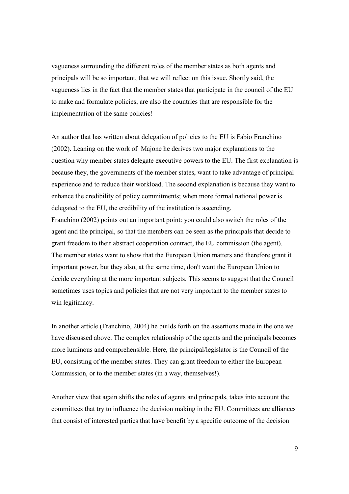vagueness surrounding the different roles of the member states as both agents and principals will be so important, that we will reflect on this issue. Shortly said, the vagueness lies in the fact that the member states that participate in the council of the EU to make and formulate policies, are also the countries that are responsible for the implementation of the same policies!

An author that has written about delegation of policies to the EU is Fabio Franchino (2002). Leaning on the work of Majone he derives two major explanations to the question why member states delegate executive powers to the EU. The first explanation is because they, the governments of the member states, want to take advantage of principal experience and to reduce their workload. The second explanation is because they want to enhance the credibility of policy commitments; when more formal national power is delegated to the EU, the credibility of the institution is ascending.

Franchino (2002) points out an important point: you could also switch the roles of the agent and the principal, so that the members can be seen as the principals that decide to grant freedom to their abstract cooperation contract, the EU commission (the agent). The member states want to show that the European Union matters and therefore grant it important power, but they also, at the same time, don't want the European Union to decide everything at the more important subjects. This seems to suggest that the Council sometimes uses topics and policies that are not very important to the member states to win legitimacy.

In another article (Franchino, 2004) he builds forth on the assertions made in the one we have discussed above. The complex relationship of the agents and the principals becomes more luminous and comprehensible. Here, the principal/legislator is the Council of the EU, consisting of the member states. They can grant freedom to either the European Commission, or to the member states (in a way, themselves!).

Another view that again shifts the roles of agents and principals, takes into account the committees that try to influence the decision making in the EU. Committees are alliances that consist of interested parties that have benefit by a specific outcome of the decision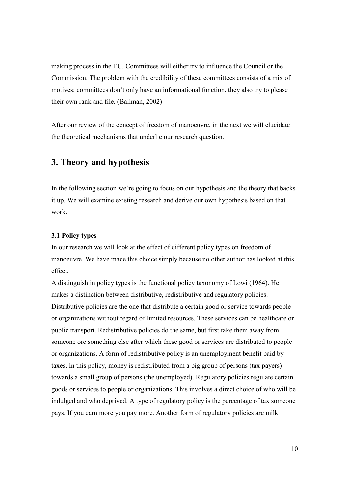making process in the EU. Committees will either try to influence the Council or the Commission. The problem with the credibility of these committees consists of a mix of motives; committees don't only have an informational function, they also try to please their own rank and file. (Ballman, 2002)

After our review of the concept of freedom of manoeuvre, in the next we will elucidate the theoretical mechanisms that underlie our research question.

## 3. Theory and hypothesis

In the following section we're going to focus on our hypothesis and the theory that backs it up. We will examine existing research and derive our own hypothesis based on that work.

### 3.1 Policy types

In our research we will look at the effect of different policy types on freedom of manoeuvre. We have made this choice simply because no other author has looked at this effect.

A distinguish in policy types is the functional policy taxonomy of Lowi (1964). He makes a distinction between distributive, redistributive and regulatory policies. Distributive policies are the one that distribute a certain good or service towards people or organizations without regard of limited resources. These services can be healthcare or public transport. Redistributive policies do the same, but first take them away from someone ore something else after which these good or services are distributed to people or organizations. A form of redistributive policy is an unemployment benefit paid by taxes. In this policy, money is redistributed from a big group of persons (tax payers) towards a small group of persons (the unemployed). Regulatory policies regulate certain goods or services to people or organizations. This involves a direct choice of who will be indulged and who deprived. A type of regulatory policy is the percentage of tax someone pays. If you earn more you pay more. Another form of regulatory policies are milk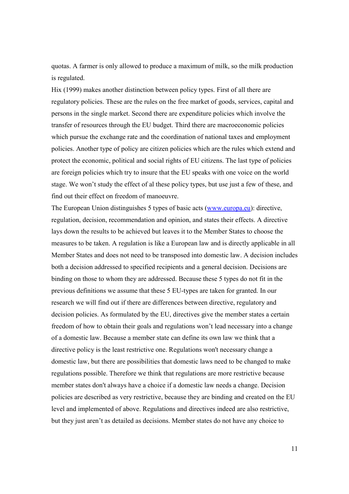quotas. A farmer is only allowed to produce a maximum of milk, so the milk production is regulated.

Hix (1999) makes another distinction between policy types. First of all there are regulatory policies. These are the rules on the free market of goods, services, capital and persons in the single market. Second there are expenditure policies which involve the transfer of resources through the EU budget. Third there are macroeconomic policies which pursue the exchange rate and the coordination of national taxes and employment policies. Another type of policy are citizen policies which are the rules which extend and protect the economic, political and social rights of EU citizens. The last type of policies are foreign policies which try to insure that the EU speaks with one voice on the world stage. We won't study the effect of al these policy types, but use just a few of these, and find out their effect on freedom of manoeuvre.

The European Union distinguishes 5 types of basic acts (www.europa.eu): directive, regulation, decision, recommendation and opinion, and states their effects. A directive lays down the results to be achieved but leaves it to the Member States to choose the measures to be taken. A regulation is like a European law and is directly applicable in all Member States and does not need to be transposed into domestic law. A decision includes both a decision addressed to specified recipients and a general decision. Decisions are binding on those to whom they are addressed. Because these 5 types do not fit in the previous definitions we assume that these 5 EU-types are taken for granted. In our research we will find out if there are differences between directive, regulatory and decision policies. As formulated by the EU, directives give the member states a certain freedom of how to obtain their goals and regulations won't lead necessary into a change of a domestic law. Because a member state can define its own law we think that a directive policy is the least restrictive one. Regulations won't necessary change a domestic law, but there are possibilities that domestic laws need to be changed to make regulations possible. Therefore we think that regulations are more restrictive because member states don't always have a choice if a domestic law needs a change. Decision policies are described as very restrictive, because they are binding and created on the EU level and implemented of above. Regulations and directives indeed are also restrictive, but they just aren't as detailed as decisions. Member states do not have any choice to

11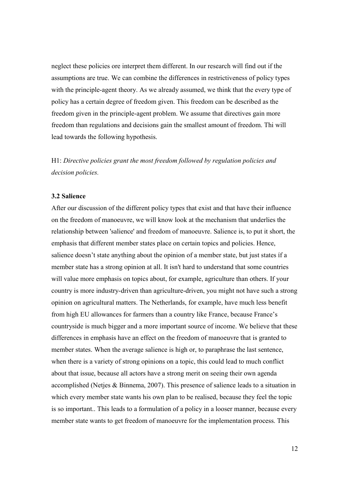neglect these policies ore interpret them different. In our research will find out if the assumptions are true. We can combine the differences in restrictiveness of policy types with the principle-agent theory. As we already assumed, we think that the every type of policy has a certain degree of freedom given. This freedom can be described as the freedom given in the principle-agent problem. We assume that directives gain more freedom than regulations and decisions gain the smallest amount of freedom. Thi will lead towards the following hypothesis.

H1: Directive policies grant the most freedom followed by regulation policies and decision policies.

### 3.2 Salience

After our discussion of the different policy types that exist and that have their influence on the freedom of manoeuvre, we will know look at the mechanism that underlies the relationship between 'salience' and freedom of manoeuvre. Salience is, to put it short, the emphasis that different member states place on certain topics and policies. Hence, salience doesn't state anything about the opinion of a member state, but just states íf a member state has a strong opinion at all. It isn't hard to understand that some countries will value more emphasis on topics about, for example, agriculture than others. If your country is more industry-driven than agriculture-driven, you might not have such a strong opinion on agricultural matters. The Netherlands, for example, have much less benefit from high EU allowances for farmers than a country like France, because France's countryside is much bigger and a more important source of income. We believe that these differences in emphasis have an effect on the freedom of manoeuvre that is granted to member states. When the average salience is high or, to paraphrase the last sentence, when there is a variety of strong opinions on a topic, this could lead to much conflict about that issue, because all actors have a strong merit on seeing their own agenda accomplished (Netjes & Binnema, 2007). This presence of salience leads to a situation in which every member state wants his own plan to be realised, because they feel the topic is so important.. This leads to a formulation of a policy in a looser manner, because every member state wants to get freedom of manoeuvre for the implementation process. This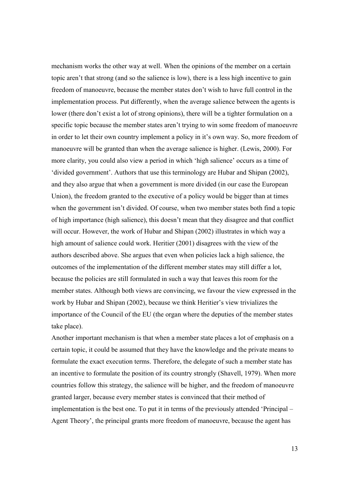mechanism works the other way at well. When the opinions of the member on a certain topic aren't that strong (and so the salience is low), there is a less high incentive to gain freedom of manoeuvre, because the member states don't wish to have full control in the implementation process. Put differently, when the average salience between the agents is lower (there don't exist a lot of strong opinions), there will be a tighter formulation on a specific topic because the member states aren't trying to win some freedom of manoeuvre in order to let their own country implement a policy in it's own way. So, more freedom of manoeuvre will be granted than when the average salience is higher. (Lewis, 2000). For more clarity, you could also view a period in which 'high salience' occurs as a time of 'divided government'. Authors that use this terminology are Hubar and Shipan (2002), and they also argue that when a government is more divided (in our case the European Union), the freedom granted to the executive of a policy would be bigger than at times when the government isn't divided. Of course, when two member states both find a topic of high importance (high salience), this doesn't mean that they disagree and that conflict will occur. However, the work of Hubar and Shipan (2002) illustrates in which way a high amount of salience could work. Heritier (2001) disagrees with the view of the authors described above. She argues that even when policies lack a high salience, the outcomes of the implementation of the different member states may still differ a lot, because the policies are still formulated in such a way that leaves this room for the member states. Although both views are convincing, we favour the view expressed in the work by Hubar and Shipan (2002), because we think Heritier's view trivializes the importance of the Council of the EU (the organ where the deputies of the member states take place).

Another important mechanism is that when a member state places a lot of emphasis on a certain topic, it could be assumed that they have the knowledge and the private means to formulate the exact execution terms. Therefore, the delegate of such a member state has an incentive to formulate the position of its country strongly (Shavell, 1979). When more countries follow this strategy, the salience will be higher, and the freedom of manoeuvre granted larger, because every member states is convinced that their method of implementation is the best one. To put it in terms of the previously attended 'Principal – Agent Theory', the principal grants more freedom of manoeuvre, because the agent has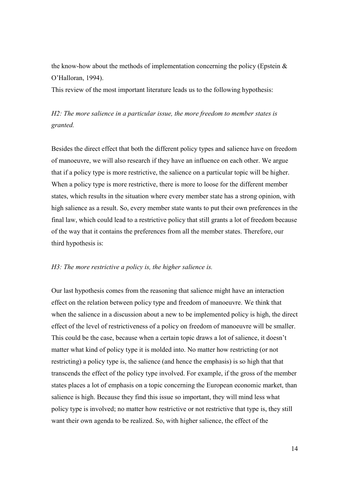the know-how about the methods of implementation concerning the policy (Epstein  $\&$ O'Halloran, 1994).

This review of the most important literature leads us to the following hypothesis:

# H2: The more salience in a particular issue, the more freedom to member states is granted.

Besides the direct effect that both the different policy types and salience have on freedom of manoeuvre, we will also research if they have an influence on each other. We argue that if a policy type is more restrictive, the salience on a particular topic will be higher. When a policy type is more restrictive, there is more to loose for the different member states, which results in the situation where every member state has a strong opinion, with high salience as a result. So, every member state wants to put their own preferences in the final law, which could lead to a restrictive policy that still grants a lot of freedom because of the way that it contains the preferences from all the member states. Therefore, our third hypothesis is:

### H3: The more restrictive a policy is, the higher salience is.

Our last hypothesis comes from the reasoning that salience might have an interaction effect on the relation between policy type and freedom of manoeuvre. We think that when the salience in a discussion about a new to be implemented policy is high, the direct effect of the level of restrictiveness of a policy on freedom of manoeuvre will be smaller. This could be the case, because when a certain topic draws a lot of salience, it doesn't matter what kind of policy type it is molded into. No matter how restricting (or not restricting) a policy type is, the salience (and hence the emphasis) is so high that that transcends the effect of the policy type involved. For example, if the gross of the member states places a lot of emphasis on a topic concerning the European economic market, than salience is high. Because they find this issue so important, they will mind less what policy type is involved; no matter how restrictive or not restrictive that type is, they still want their own agenda to be realized. So, with higher salience, the effect of the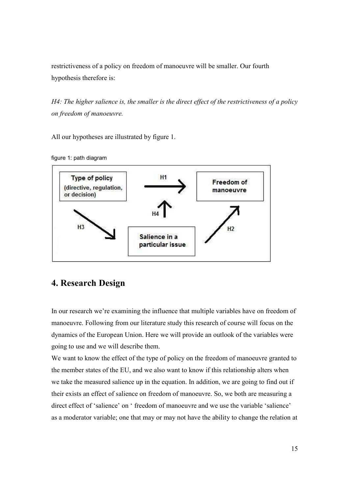restrictiveness of a policy on freedom of manoeuvre will be smaller. Our fourth hypothesis therefore is:

H4: The higher salience is, the smaller is the direct effect of the restrictiveness of a policy on freedom of manoeuvre.

All our hypotheses are illustrated by figure 1.





# 4. Research Design

In our research we're examining the influence that multiple variables have on freedom of manoeuvre. Following from our literature study this research of course will focus on the dynamics of the European Union. Here we will provide an outlook of the variables were going to use and we will describe them.

We want to know the effect of the type of policy on the freedom of manoeuvre granted to the member states of the EU, and we also want to know if this relationship alters when we take the measured salience up in the equation. In addition, we are going to find out if their exists an effect of salience on freedom of manoeuvre. So, we both are measuring a direct effect of 'salience' on ' freedom of manoeuvre and we use the variable 'salience' as a moderator variable; one that may or may not have the ability to change the relation at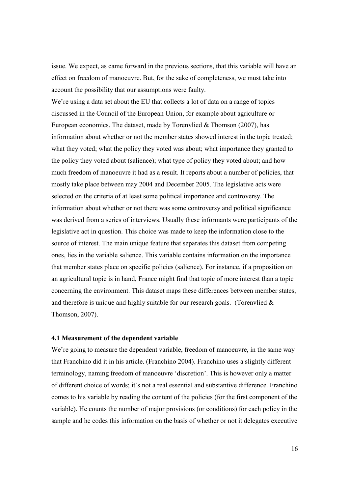issue. We expect, as came forward in the previous sections, that this variable will have an effect on freedom of manoeuvre. But, for the sake of completeness, we must take into account the possibility that our assumptions were faulty.

We're using a data set about the EU that collects a lot of data on a range of topics discussed in the Council of the European Union, for example about agriculture or European economics. The dataset, made by Torenvlied & Thomson (2007), has information about whether or not the member states showed interest in the topic treated; what they voted; what the policy they voted was about; what importance they granted to the policy they voted about (salience); what type of policy they voted about; and how much freedom of manoeuvre it had as a result. It reports about a number of policies, that mostly take place between may 2004 and December 2005. The legislative acts were selected on the criteria of at least some political importance and controversy. The information about whether or not there was some controversy and political significance was derived from a series of interviews. Usually these informants were participants of the legislative act in question. This choice was made to keep the information close to the source of interest. The main unique feature that separates this dataset from competing ones, lies in the variable salience. This variable contains information on the importance that member states place on specific policies (salience). For instance, if a proposition on an agricultural topic is in hand, France might find that topic of more interest than a topic concerning the environment. This dataset maps these differences between member states, and therefore is unique and highly suitable for our research goals. (Torenvlied  $\&$ Thomson, 2007).

### 4.1 Measurement of the dependent variable

We're going to measure the dependent variable, freedom of manoeuvre, in the same way that Franchino did it in his article. (Franchino 2004). Franchino uses a slightly different terminology, naming freedom of manoeuvre 'discretion'. This is however only a matter of different choice of words; it's not a real essential and substantive difference. Franchino comes to his variable by reading the content of the policies (for the first component of the variable). He counts the number of major provisions (or conditions) for each policy in the sample and he codes this information on the basis of whether or not it delegates executive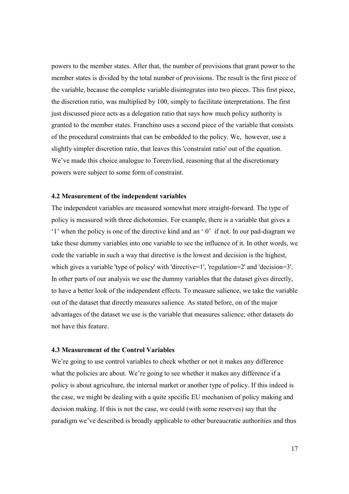powers to the member states. After that, the number of provisions that grant power to the member states is divided by the total number of provisions. The result is the first piece of the variable, because the complete variable disintegrates into two pieces. This first piece, the discretion ratio, was multiplied by 100, simply to facilitate interpretations. The first just discussed piece acts as a delegation ratio that says how much policy authority is granted to the member states. Franchino uses a second piece of the variable that consists of the procedural constraints that can be embedded to the policy. We, however, use a slightly simpler discretion ratio, that leaves this 'constraint ratio' out of the equation. We've made this choice analogue to Torenvlied, reasoning that al the discretionary powers were subject to some form of constraint.

#### 4.2 Measurement of the independent variables

The independent variables are measured somewhat more straight-forward. The type of policy is measured with three dichotomies. For example, there is a variable that gives a '1' when the policy is one of the directive kind and an ' 0' if not. In our pad-diagram we take these dummy variables into one variable to see the influence of it. In other words, we code the variable in such a way that directive is the lowest and decision is the highest, which gives a variable 'type of policy' with 'directive=1', 'regulation=2' and 'decision=3'. In other parts of our analysis we use the dummy variables that the dataset gives directly, to have a better look of the independent effects. To measure salience, we take the variable out of the dataset that directly measures salience. As stated before, on of the major advantages of the dataset we use is the variable that measures salience; other datasets do not have this feature.

### 4.3 Measurement of the Control Variables

We're going to use control variables to check whether or not it makes any difference what the policies are about. We're going to see whether it makes any difference if a policy is about agriculture, the internal market or another type of policy. If this indeed is the case, we might be dealing with a quite specific EU mechanism of policy making and decision making. If this is not the case, we could (with some reserves) say that the paradigm we've described is broadly applicable to other bureaucratic authorities and thus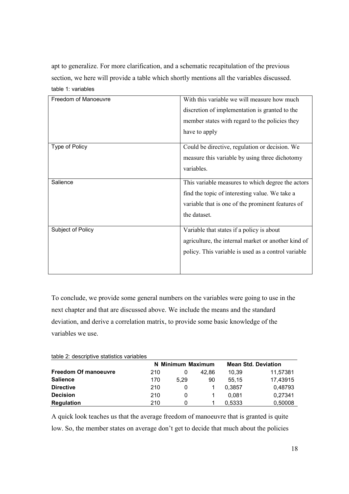apt to generalize. For more clarification, and a schematic recapitulation of the previous section, we here will provide a table which shortly mentions all the variables discussed. table 1: variables

| Freedom of Manoeuvre | With this variable we will measure how much         |
|----------------------|-----------------------------------------------------|
|                      | discretion of implementation is granted to the      |
|                      | member states with regard to the policies they      |
|                      | have to apply                                       |
| Type of Policy       | Could be directive, regulation or decision. We      |
|                      | measure this variable by using three dichotomy      |
|                      | variables.                                          |
| Salience             | This variable measures to which degree the actors   |
|                      | find the topic of interesting value. We take a      |
|                      | variable that is one of the prominent features of   |
|                      | the dataset.                                        |
| Subject of Policy    | Variable that states if a policy is about           |
|                      | agriculture, the internal market or another kind of |
|                      | policy. This variable is used as a control variable |
|                      |                                                     |
|                      |                                                     |

To conclude, we provide some general numbers on the variables were going to use in the next chapter and that are discussed above. We include the means and the standard deviation, and derive a correlation matrix, to provide some basic knowledge of the variables we use.

| table 2: descriptive statistics variables |  |  |  |  |  |  |
|-------------------------------------------|--|--|--|--|--|--|
|-------------------------------------------|--|--|--|--|--|--|

|                             | N Minimum Maximum |      |       | <b>Mean Std. Deviation</b> |          |  |
|-----------------------------|-------------------|------|-------|----------------------------|----------|--|
| <b>Freedom Of manoeuvre</b> | 210               |      | 42.86 | 10.39                      | 11,57381 |  |
| <b>Salience</b>             | 170               | 5.29 | 90    | 55.15                      | 17,43915 |  |
| <b>Directive</b>            | 210               | 0    |       | 0.3857                     | 0.48793  |  |
| <b>Decision</b>             | 210               | 0    |       | 0.081                      | 0.27341  |  |
| <b>Regulation</b>           | 210               | 0    |       | 0.5333                     | 0.50008  |  |

A quick look teaches us that the average freedom of manoeuvre that is granted is quite low. So, the member states on average don't get to decide that much about the policies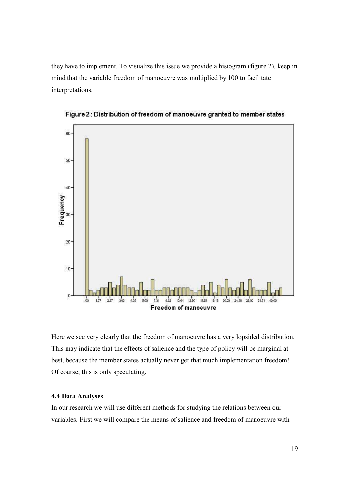they have to implement. To visualize this issue we provide a histogram (figure 2), keep in mind that the variable freedom of manoeuvre was multiplied by 100 to facilitate interpretations.



Figure 2: Distribution of freedom of manoeuvre granted to member states

Here we see very clearly that the freedom of manoeuvre has a very lopsided distribution. This may indicate that the effects of salience and the type of policy will be marginal at best, because the member states actually never get that much implementation freedom! Of course, this is only speculating.

### 4.4 Data Analyses

In our research we will use different methods for studying the relations between our variables. First we will compare the means of salience and freedom of manoeuvre with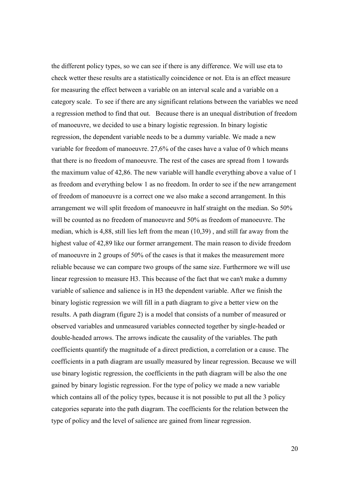the different policy types, so we can see if there is any difference. We will use eta to check wetter these results are a statistically coincidence or not. Eta is an effect measure for measuring the effect between a variable on an interval scale and a variable on a category scale. To see if there are any significant relations between the variables we need a regression method to find that out. Because there is an unequal distribution of freedom of manoeuvre, we decided to use a binary logistic regression. In binary logistic regression, the dependent variable needs to be a dummy variable. We made a new variable for freedom of manoeuvre. 27,6% of the cases have a value of 0 which means that there is no freedom of manoeuvre. The rest of the cases are spread from 1 towards the maximum value of 42,86. The new variable will handle everything above a value of 1 as freedom and everything below 1 as no freedom. In order to see if the new arrangement of freedom of manoeuvre is a correct one we also make a second arrangement. In this arrangement we will split freedom of manoeuvre in half straight on the median. So 50% will be counted as no freedom of manoeuvre and 50% as freedom of manoeuvre. The median, which is 4,88, still lies left from the mean (10,39) , and still far away from the highest value of 42,89 like our former arrangement. The main reason to divide freedom of manoeuvre in 2 groups of 50% of the cases is that it makes the measurement more reliable because we can compare two groups of the same size. Furthermore we will use linear regression to measure H3. This because of the fact that we can't make a dummy variable of salience and salience is in H3 the dependent variable. After we finish the binary logistic regression we will fill in a path diagram to give a better view on the results. A path diagram (figure 2) is a model that consists of a number of measured or observed variables and unmeasured variables connected together by single-headed or double-headed arrows. The arrows indicate the causality of the variables. The path coefficients quantify the magnitude of a direct prediction, a correlation or a cause. The coefficients in a path diagram are usually measured by linear regression. Because we will use binary logistic regression, the coefficients in the path diagram will be also the one gained by binary logistic regression. For the type of policy we made a new variable which contains all of the policy types, because it is not possible to put all the 3 policy categories separate into the path diagram. The coefficients for the relation between the type of policy and the level of salience are gained from linear regression.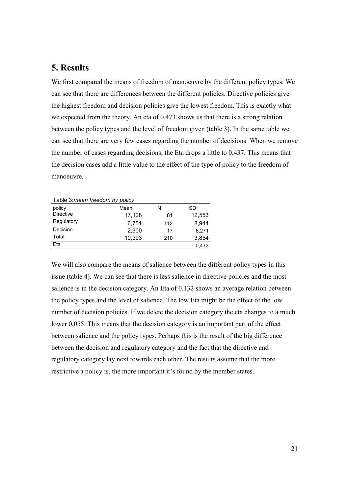### 5. Results

We first compared the means of freedom of manoeuvre by the different policy types. We can see that there are differences between the different policies. Directive policies give the highest freedom and decision policies give the lowest freedom. This is exactly what we expected from the theory. An eta of 0.473 shows us that there is a strong relation between the policy types and the level of freedom given (table 3). In the same table we can see that there are very few cases regarding the number of decisions. When we remove the number of cases regarding decisions, the Eta drops a little to 0,437. This means that the decision cases add a little value to the effect of the type of policy to the freedom of manoeuvre.

| I able 3: <i>mean freedom by policy</i> |        |     |        |  |  |
|-----------------------------------------|--------|-----|--------|--|--|
| policy                                  | Mean   | N   | SD     |  |  |
| Directive                               | 17,128 | 81  | 12,553 |  |  |
| Regulatory                              | 6.751  | 112 | 8.944  |  |  |
| Decision                                | 2,300  | 17  | 6,271  |  |  |
| Total                                   | 10,393 | 210 | 3,854  |  |  |
| Eta                                     |        |     | 0.473  |  |  |

 $\tau$  and  $\sigma$  are positive policy policy policy

We will also compare the means of salience between the different policy types in this issue (table 4). We can see that there is less salience in directive policies and the most salience is in the decision category. An Eta of 0.132 shows an average relation between the policy types and the level of salience. The low Eta might be the effect of the low number of decision policies. If we delete the decision category the eta changes to a much lower 0,055. This means that the decision category is an important part of the effect between salience and the policy types. Perhaps this is the result of the big difference between the decision and regulatory category and the fact that the directive and regulatory category lay next towards each other. The results assume that the more restrictive a policy is, the more important it's found by the member states.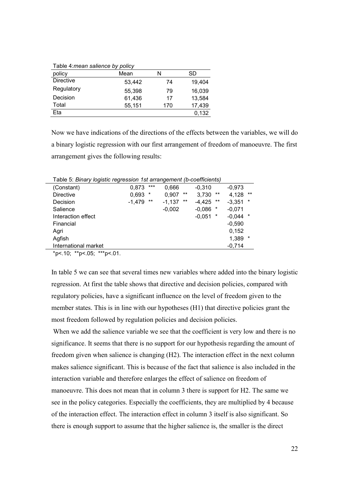| Table 4: mean salience by policy |        |     |        |  |  |
|----------------------------------|--------|-----|--------|--|--|
| policy                           | Mean   | N   | SD     |  |  |
| <b>Directive</b>                 | 53,442 | 74  | 19,404 |  |  |
| Regulatory                       | 55,398 | 79  | 16,039 |  |  |
| Decision                         | 61,436 | 17  | 13,584 |  |  |
| Total                            | 55,151 | 170 | 17,439 |  |  |
| Eta                              |        |     | 0,132  |  |  |

Now we have indications of the directions of the effects between the variables, we will do a binary logistic regression with our first arrangement of freedom of manoeuvre. The first arrangement gives the following results:

Table 5: Binary logistic regression 1st arrangement (b-coefficients) (Constant) 0,873 \*\*\* 0,666 -0,310 -0,973 Directive 0,693 \* 0,907 \*\* 3,730 \*\* 4,128 \*\* Decision -1,479 \*\* -1,137 \*\* -4,425 \*\* -3,351 \* Salience -0,002 -0,086 \* -0,071 Interaction effect  $-0.051$  \*  $-0.044$  \* Financial -0,590 Agri 0,152 Agfish 1,389 \* International market -0,714

 $*p$  <.10;  $*p$  <.05;  $**p$  <.01.

In table 5 we can see that several times new variables where added into the binary logistic regression. At first the table shows that directive and decision policies, compared with regulatory policies, have a significant influence on the level of freedom given to the member states. This is in line with our hypotheses (H1) that directive policies grant the most freedom followed by regulation policies and decision policies.

When we add the salience variable we see that the coefficient is very low and there is no significance. It seems that there is no support for our hypothesis regarding the amount of freedom given when salience is changing (H2). The interaction effect in the next column makes salience significant. This is because of the fact that salience is also included in the interaction variable and therefore enlarges the effect of salience on freedom of manoeuvre. This does not mean that in column 3 there is support for H2. The same we see in the policy categories. Especially the coefficients, they are multiplied by 4 because of the interaction effect. The interaction effect in column 3 itself is also significant. So there is enough support to assume that the higher salience is, the smaller is the direct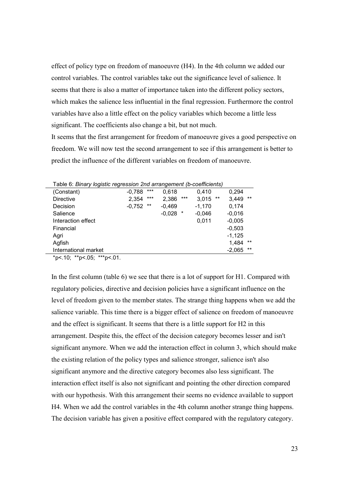effect of policy type on freedom of manoeuvre (H4). In the 4th column we added our control variables. The control variables take out the significance level of salience. It seems that there is also a matter of importance taken into the different policy sectors, which makes the salience less influential in the final regression. Furthermore the control variables have also a little effect on the policy variables which become a little less significant. The coefficients also change a bit, but not much.

It seems that the first arrangement for freedom of manoeuvre gives a good perspective on freedom. We will now test the second arrangement to see if this arrangement is better to predict the influence of the different variables on freedom of manoeuvre.

| l able 6: <i>Binary loqistic regression 2nd arrangement (b-coefficients)</i> |          |       |          |         |                |          |       |
|------------------------------------------------------------------------------|----------|-------|----------|---------|----------------|----------|-------|
| (Constant)                                                                   | $-0.788$ | $***$ | 0.618    |         | 0.410          | 0.294    |       |
| <b>Directive</b>                                                             | 2,354    | $***$ | 2,386    | $***$   | $***$<br>3,015 | 3,449    | $***$ |
| Decision                                                                     | $-0,752$ | $***$ | $-0,469$ |         | $-1,170$       | 0,174    |       |
| Salience                                                                     |          |       | $-0.028$ | $\star$ | $-0,046$       | $-0,016$ |       |
| Interaction effect                                                           |          |       |          |         | 0.011          | $-0,005$ |       |
| Financial                                                                    |          |       |          |         |                | $-0,503$ |       |
| Agri                                                                         |          |       |          |         |                | $-1,125$ |       |
| Agfish                                                                       |          |       |          |         |                | 1,484    | $***$ |
| International market                                                         |          |       |          |         |                | $-2,065$ | $***$ |
|                                                                              |          |       |          |         |                |          |       |

Table 6: Binary logistic regression 2nd arrangement (b-coefficients)

 $*p$  < 0.10;  $*p$  < 0.05;  $**p$  < 0.01.

In the first column (table 6) we see that there is a lot of support for H1. Compared with regulatory policies, directive and decision policies have a significant influence on the level of freedom given to the member states. The strange thing happens when we add the salience variable. This time there is a bigger effect of salience on freedom of manoeuvre and the effect is significant. It seems that there is a little support for H2 in this arrangement. Despite this, the effect of the decision category becomes lesser and isn't significant anymore. When we add the interaction effect in column 3, which should make the existing relation of the policy types and salience stronger, salience isn't also significant anymore and the directive category becomes also less significant. The interaction effect itself is also not significant and pointing the other direction compared with our hypothesis. With this arrangement their seems no evidence available to support H4. When we add the control variables in the 4th column another strange thing happens. The decision variable has given a positive effect compared with the regulatory category.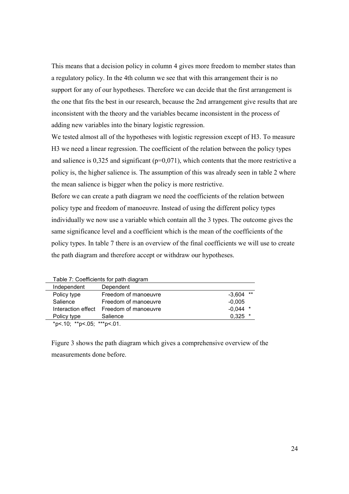This means that a decision policy in column 4 gives more freedom to member states than a regulatory policy. In the 4th column we see that with this arrangement their is no support for any of our hypotheses. Therefore we can decide that the first arrangement is the one that fits the best in our research, because the 2nd arrangement give results that are inconsistent with the theory and the variables became inconsistent in the process of adding new variables into the binary logistic regression.

We tested almost all of the hypotheses with logistic regression except of H3. To measure H3 we need a linear regression. The coefficient of the relation between the policy types and salience is  $0.325$  and significant ( $p=0.071$ ), which contents that the more restrictive a policy is, the higher salience is. The assumption of this was already seen in table 2 where the mean salience is bigger when the policy is more restrictive.

Before we can create a path diagram we need the coefficients of the relation between policy type and freedom of manoeuvre. Instead of using the different policy types individually we now use a variable which contain all the 3 types. The outcome gives the same significance level and a coefficient which is the mean of the coefficients of the policy types. In table 7 there is an overview of the final coefficients we will use to create the path diagram and therefore accept or withdraw our hypotheses.

| rable r: Coemcients for path diagram |                      |           |       |
|--------------------------------------|----------------------|-----------|-------|
| Independent                          | Dependent            |           |       |
| Policy type                          | Freedom of manoeuvre | $-3.604$  | $***$ |
| Salience                             | Freedom of manoeuvre | $-0.005$  |       |
| Interaction effect                   | Freedom of manoeuvre | -0.044    |       |
| Policy type                          | Salience             | $0.325$ * |       |
| *n< $10:***$ n< $05:***$ n< $01$     |                      |           |       |

Table 7: Coefficients for path diagram

\*p<.10; \*\*p<.05; \*\*\*p<.01.

Figure 3 shows the path diagram which gives a comprehensive overview of the measurements done before.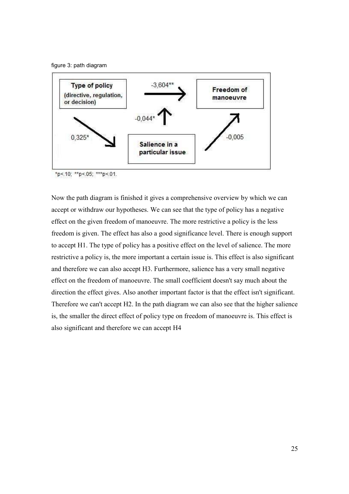



\*p<.10; \*\*p<.05; \*\*\*p<.01.

Now the path diagram is finished it gives a comprehensive overview by which we can accept or withdraw our hypotheses. We can see that the type of policy has a negative effect on the given freedom of manoeuvre. The more restrictive a policy is the less freedom is given. The effect has also a good significance level. There is enough support to accept H1. The type of policy has a positive effect on the level of salience. The more restrictive a policy is, the more important a certain issue is. This effect is also significant and therefore we can also accept H3. Furthermore, salience has a very small negative effect on the freedom of manoeuvre. The small coefficient doesn't say much about the direction the effect gives. Also another important factor is that the effect isn't significant. Therefore we can't accept H2. In the path diagram we can also see that the higher salience is, the smaller the direct effect of policy type on freedom of manoeuvre is. This effect is also significant and therefore we can accept H4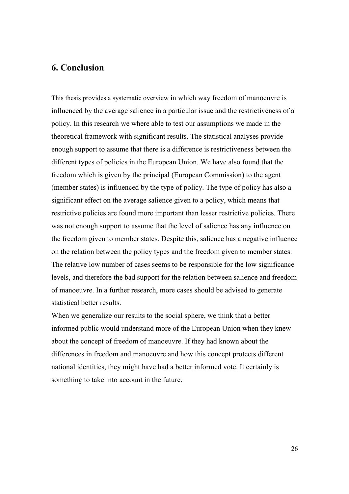### 6. Conclusion

This thesis provides a systematic overview in which way freedom of manoeuvre is influenced by the average salience in a particular issue and the restrictiveness of a policy. In this research we where able to test our assumptions we made in the theoretical framework with significant results. The statistical analyses provide enough support to assume that there is a difference is restrictiveness between the different types of policies in the European Union. We have also found that the freedom which is given by the principal (European Commission) to the agent (member states) is influenced by the type of policy. The type of policy has also a significant effect on the average salience given to a policy, which means that restrictive policies are found more important than lesser restrictive policies. There was not enough support to assume that the level of salience has any influence on the freedom given to member states. Despite this, salience has a negative influence on the relation between the policy types and the freedom given to member states. The relative low number of cases seems to be responsible for the low significance levels, and therefore the bad support for the relation between salience and freedom of manoeuvre. In a further research, more cases should be advised to generate statistical better results.

When we generalize our results to the social sphere, we think that a better informed public would understand more of the European Union when they knew about the concept of freedom of manoeuvre. If they had known about the differences in freedom and manoeuvre and how this concept protects different national identities, they might have had a better informed vote. It certainly is something to take into account in the future.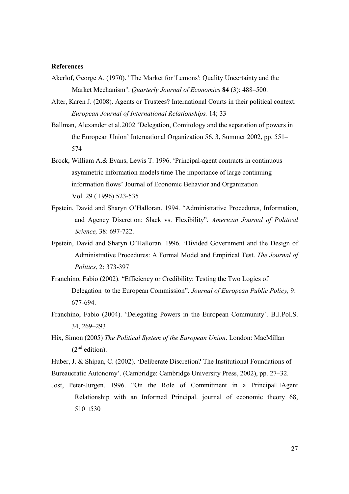### References

- Akerlof, George A. (1970). "The Market for 'Lemons': Quality Uncertainty and the Market Mechanism". Quarterly Journal of Economics 84 (3): 488–500.
- Alter, Karen J. (2008). Agents or Trustees? International Courts in their political context. European Journal of International Relationships. 14; 33
- Ballman, Alexander et al.2002 'Delegation, Comitology and the separation of powers in the European Union' International Organization 56, 3, Summer 2002, pp. 551– 574
- Brock, William A.& Evans, Lewis T. 1996. 'Principal-agent contracts in continuous asymmetric information models time The importance of large continuing information flows' Journal of Economic Behavior and Organization Vol. 29 ( 1996) 523-535
- Epstein, David and Sharyn O'Halloran. 1994. "Administrative Procedures, Information, and Agency Discretion: Slack vs. Flexibility". American Journal of Political Science, 38: 697-722.
- Epstein, David and Sharyn O'Halloran. 1996. 'Divided Government and the Design of Administrative Procedures: A Formal Model and Empirical Test. The Journal of Politics, 2: 373-397
- Franchino, Fabio (2002). "Efficiency or Credibility: Testing the Two Logics of Delegation to the European Commission". Journal of European Public Policy, 9: 677-694.
- Franchino, Fabio (2004). 'Delegating Powers in the European Community`. B.J.Pol.S. 34, 269–293
- Hix, Simon (2005) The Political System of the European Union. London: MacMillan  $(2<sup>nd</sup>$  edition).
- Huber, J. & Shipan, C. (2002). 'Deliberate Discretion? The Institutional Foundations of Bureaucratic Autonomy'. (Cambridge: Cambridge University Press, 2002), pp. 27–32.
- Jost, Peter-Jurgen. 1996. "On the Role of Commitment in a PrincipalSAgent Relationship with an Informed Principal. journal of economic theory 68, 510S530